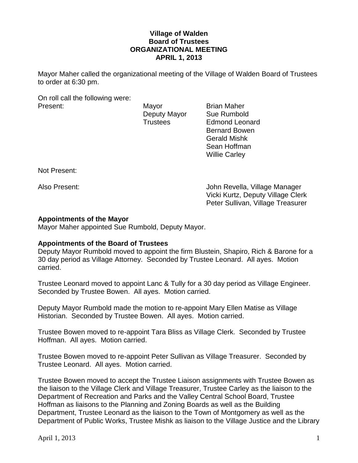#### **Village of Walden Board of Trustees ORGANIZATIONAL MEETING APRIL 1, 2013**

Mayor Maher called the organizational meeting of the Village of Walden Board of Trustees to order at 6:30 pm.

On roll call the following were: Present: Mayor Brian Maher

Deputy Mayor Sue Rumbold Trustees Edmond Leonard Bernard Bowen Gerald Mishk Sean Hoffman Willie Carley

Not Present:

Also Present: John Revella, Village Manager Vicki Kurtz, Deputy Village Clerk Peter Sullivan, Village Treasurer

#### **Appointments of the Mayor**

Mayor Maher appointed Sue Rumbold, Deputy Mayor.

#### **Appointments of the Board of Trustees**

Deputy Mayor Rumbold moved to appoint the firm Blustein, Shapiro, Rich & Barone for a 30 day period as Village Attorney. Seconded by Trustee Leonard. All ayes. Motion carried.

Trustee Leonard moved to appoint Lanc & Tully for a 30 day period as Village Engineer. Seconded by Trustee Bowen. All ayes. Motion carried.

Deputy Mayor Rumbold made the motion to re-appoint Mary Ellen Matise as Village Historian. Seconded by Trustee Bowen. All ayes. Motion carried.

Trustee Bowen moved to re-appoint Tara Bliss as Village Clerk. Seconded by Trustee Hoffman. All ayes. Motion carried.

Trustee Bowen moved to re-appoint Peter Sullivan as Village Treasurer. Seconded by Trustee Leonard. All ayes. Motion carried.

Trustee Bowen moved to accept the Trustee Liaison assignments with Trustee Bowen as the liaison to the Village Clerk and Village Treasurer, Trustee Carley as the liaison to the Department of Recreation and Parks and the Valley Central School Board, Trustee Hoffman as liaisons to the Planning and Zoning Boards as well as the Building Department, Trustee Leonard as the liaison to the Town of Montgomery as well as the Department of Public Works, Trustee Mishk as liaison to the Village Justice and the Library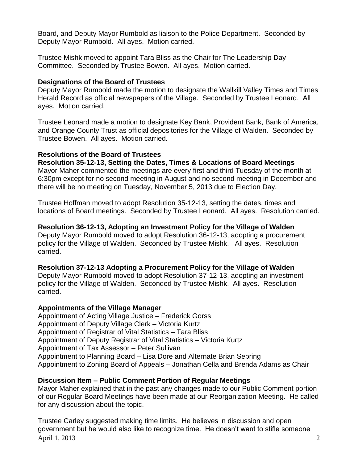Board, and Deputy Mayor Rumbold as liaison to the Police Department. Seconded by Deputy Mayor Rumbold. All ayes. Motion carried.

Trustee Mishk moved to appoint Tara Bliss as the Chair for The Leadership Day Committee. Seconded by Trustee Bowen. All ayes. Motion carried.

### **Designations of the Board of Trustees**

Deputy Mayor Rumbold made the motion to designate the Wallkill Valley Times and Times Herald Record as official newspapers of the Village. Seconded by Trustee Leonard. All ayes. Motion carried.

Trustee Leonard made a motion to designate Key Bank, Provident Bank, Bank of America, and Orange County Trust as official depositories for the Village of Walden. Seconded by Trustee Bowen. All ayes. Motion carried.

### **Resolutions of the Board of Trustees**

**Resolution 35-12-13, Setting the Dates, Times & Locations of Board Meetings** Mayor Maher commented the meetings are every first and third Tuesday of the month at 6:30pm except for no second meeting in August and no second meeting in December and there will be no meeting on Tuesday, November 5, 2013 due to Election Day.

Trustee Hoffman moved to adopt Resolution 35-12-13, setting the dates, times and locations of Board meetings. Seconded by Trustee Leonard. All ayes. Resolution carried.

**Resolution 36-12-13, Adopting an Investment Policy for the Village of Walden** Deputy Mayor Rumbold moved to adopt Resolution 36-12-13, adopting a procurement policy for the Village of Walden. Seconded by Trustee Mishk. All ayes. Resolution carried.

# **Resolution 37-12-13 Adopting a Procurement Policy for the Village of Walden**

Deputy Mayor Rumbold moved to adopt Resolution 37-12-13, adopting an investment policy for the Village of Walden. Seconded by Trustee Mishk. All ayes. Resolution carried.

#### **Appointments of the Village Manager**

Appointment of Acting Village Justice – Frederick Gorss Appointment of Deputy Village Clerk – Victoria Kurtz Appointment of Registrar of Vital Statistics – Tara Bliss Appointment of Deputy Registrar of Vital Statistics – Victoria Kurtz Appointment of Tax Assessor – Peter Sullivan Appointment to Planning Board – Lisa Dore and Alternate Brian Sebring Appointment to Zoning Board of Appeals – Jonathan Cella and Brenda Adams as Chair

# **Discussion Item – Public Comment Portion of Regular Meetings**

Mayor Maher explained that in the past any changes made to our Public Comment portion of our Regular Board Meetings have been made at our Reorganization Meeting. He called for any discussion about the topic.

April 1, 2013 2 Trustee Carley suggested making time limits. He believes in discussion and open government but he would also like to recognize time. He doesn't want to stifle someone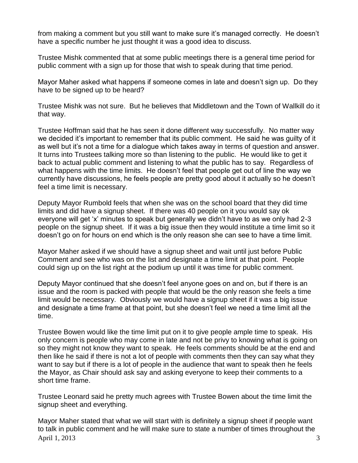from making a comment but you still want to make sure it's managed correctly. He doesn't have a specific number he just thought it was a good idea to discuss.

Trustee Mishk commented that at some public meetings there is a general time period for public comment with a sign up for those that wish to speak during that time period.

Mayor Maher asked what happens if someone comes in late and doesn't sign up. Do they have to be signed up to be heard?

Trustee Mishk was not sure. But he believes that Middletown and the Town of Wallkill do it that way.

Trustee Hoffman said that he has seen it done different way successfully. No matter way we decided it's important to remember that its public comment. He said he was guilty of it as well but it's not a time for a dialogue which takes away in terms of question and answer. It turns into Trustees talking more so than listening to the public. He would like to get it back to actual public comment and listening to what the public has to say. Regardless of what happens with the time limits. He doesn't feel that people get out of line the way we currently have discussions, he feels people are pretty good about it actually so he doesn't feel a time limit is necessary.

Deputy Mayor Rumbold feels that when she was on the school board that they did time limits and did have a signup sheet. If there was 40 people on it you would say ok everyone will get 'x' minutes to speak but generally we didn't have to as we only had 2-3 people on the signup sheet. If it was a big issue then they would institute a time limit so it doesn't go on for hours on end which is the only reason she can see to have a time limit.

Mayor Maher asked if we should have a signup sheet and wait until just before Public Comment and see who was on the list and designate a time limit at that point. People could sign up on the list right at the podium up until it was time for public comment.

Deputy Mayor continued that she doesn't feel anyone goes on and on, but if there is an issue and the room is packed with people that would be the only reason she feels a time limit would be necessary. Obviously we would have a signup sheet if it was a big issue and designate a time frame at that point, but she doesn't feel we need a time limit all the time.

Trustee Bowen would like the time limit put on it to give people ample time to speak. His only concern is people who may come in late and not be privy to knowing what is going on so they might not know they want to speak. He feels comments should be at the end and then like he said if there is not a lot of people with comments then they can say what they want to say but if there is a lot of people in the audience that want to speak then he feels the Mayor, as Chair should ask say and asking everyone to keep their comments to a short time frame.

Trustee Leonard said he pretty much agrees with Trustee Bowen about the time limit the signup sheet and everything.

April 1, 2013  $\overline{3}$ Mayor Maher stated that what we will start with is definitely a signup sheet if people want to talk in public comment and he will make sure to state a number of times throughout the